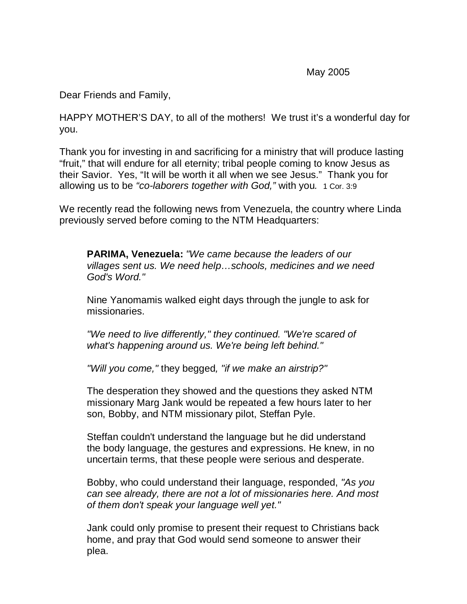May 2005

Dear Friends and Family,

HAPPY MOTHER'S DAY, to all of the mothers! We trust it's a wonderful day for you.

Thank you for investing in and sacrificing for a ministry that will produce lasting "fruit," that will endure for all eternity; tribal people coming to know Jesus as their Savior. Yes, "It will be worth it all when we see Jesus." Thank you for allowing us to be "co-laborers together with God," with you. 1 Cor. 3:9

We recently read the following news from Venezuela, the country where Linda previously served before coming to the NTM Headquarters:

**PARIMA, Venezuela:** "We came because the leaders of our villages sent us. We need help…schools, medicines and we need God's Word."

Nine Yanomamis walked eight days through the jungle to ask for missionaries.

"We need to live differently," they continued. "We're scared of what's happening around us. We're being left behind."

"Will you come," they begged, "if we make an airstrip?"

The desperation they showed and the questions they asked NTM missionary Marg Jank would be repeated a few hours later to her son, Bobby, and NTM missionary pilot, Steffan Pyle.

Steffan couldn't understand the language but he did understand the body language, the gestures and expressions. He knew, in no uncertain terms, that these people were serious and desperate.

Bobby, who could understand their language, responded, "As you can see already, there are not a lot of missionaries here. And most of them don't speak your language well yet."

Jank could only promise to present their request to Christians back home, and pray that God would send someone to answer their plea.